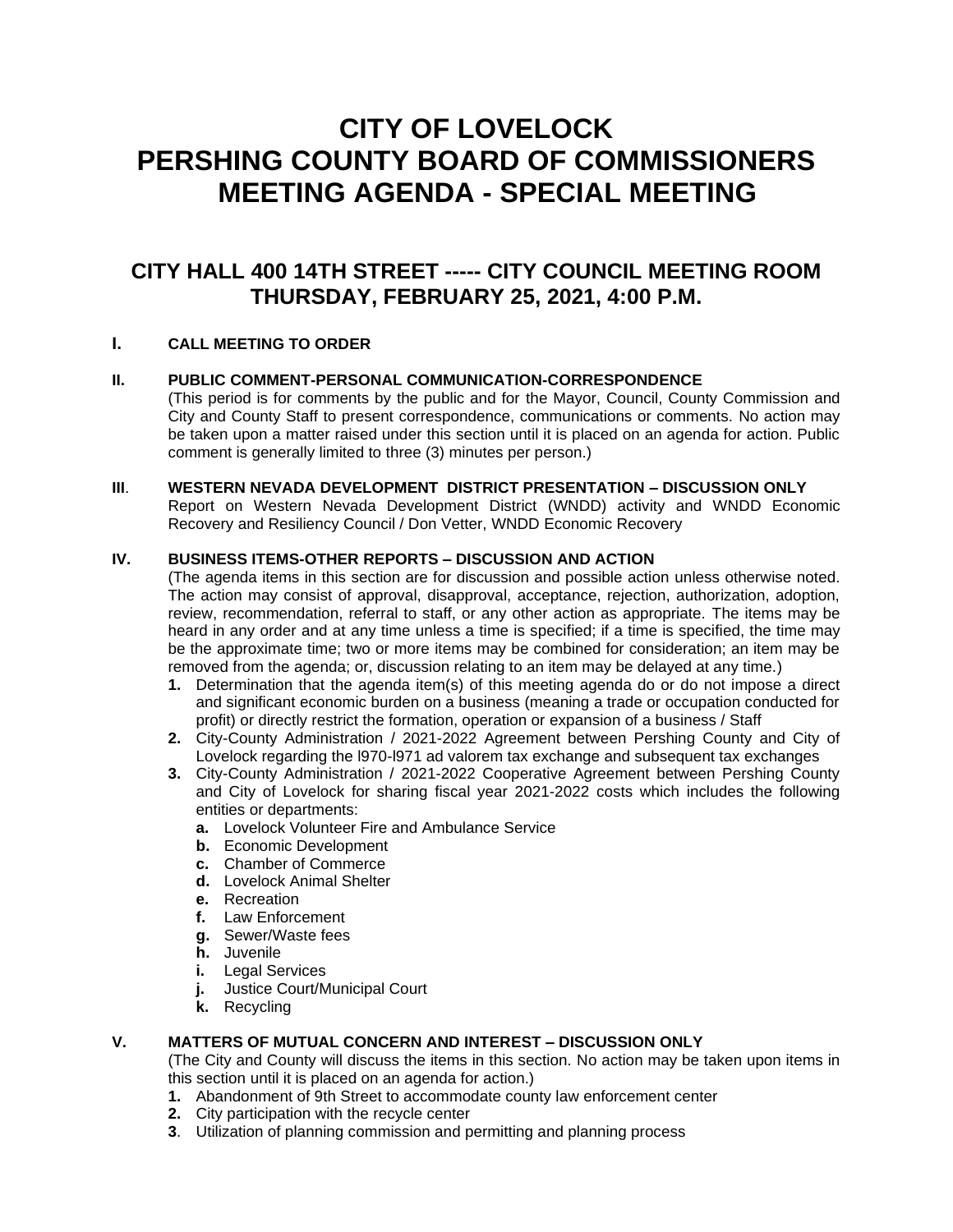# **CITY OF LOVELOCK PERSHING COUNTY BOARD OF COMMISSIONERS MEETING AGENDA - SPECIAL MEETING**

# **CITY HALL 400 14TH STREET ----- CITY COUNCIL MEETING ROOM THURSDAY, FEBRUARY 25, 2021, 4:00 P.M.**

# **I. CALL MEETING TO ORDER**

# **II. PUBLIC COMMENT-PERSONAL COMMUNICATION-CORRESPONDENCE**

(This period is for comments by the public and for the Mayor, Council, County Commission and City and County Staff to present correspondence, communications or comments. No action may be taken upon a matter raised under this section until it is placed on an agenda for action. Public comment is generally limited to three (3) minutes per person.)

# **III**. **WESTERN NEVADA DEVELOPMENT DISTRICT PRESENTATION – DISCUSSION ONLY**

Report on Western Nevada Development District (WNDD) activity and WNDD Economic Recovery and Resiliency Council / Don Vetter, WNDD Economic Recovery

### **IV. BUSINESS ITEMS-OTHER REPORTS – DISCUSSION AND ACTION**

(The agenda items in this section are for discussion and possible action unless otherwise noted. The action may consist of approval, disapproval, acceptance, rejection, authorization, adoption, review, recommendation, referral to staff, or any other action as appropriate. The items may be heard in any order and at any time unless a time is specified; if a time is specified, the time may be the approximate time; two or more items may be combined for consideration; an item may be removed from the agenda; or, discussion relating to an item may be delayed at any time.)

- **1.** Determination that the agenda item(s) of this meeting agenda do or do not impose a direct and significant economic burden on a business (meaning a trade or occupation conducted for profit) or directly restrict the formation, operation or expansion of a business / Staff
- **2.** City-County Administration / 2021-2022 Agreement between Pershing County and City of Lovelock regarding the l970-l971 ad valorem tax exchange and subsequent tax exchanges
- **3.** City-County Administration / 2021-2022 Cooperative Agreement between Pershing County and City of Lovelock for sharing fiscal year 2021-2022 costs which includes the following entities or departments:
	- **a.** Lovelock Volunteer Fire and Ambulance Service
	- **b.** Economic Development
	- **c.** Chamber of Commerce
	- **d.** Lovelock Animal Shelter
	- **e.** Recreation
	- **f.** Law Enforcement
	- **g.** Sewer/Waste fees
	- **h.** Juvenile
	- **i.** Legal Services
	- **j.** Justice Court/Municipal Court
	- **k.** Recycling

### **V. MATTERS OF MUTUAL CONCERN AND INTEREST – DISCUSSION ONLY**

(The City and County will discuss the items in this section. No action may be taken upon items in this section until it is placed on an agenda for action.)

- **1.** Abandonment of 9th Street to accommodate county law enforcement center
- **2.** City participation with the recycle center
- **3**. Utilization of planning commission and permitting and planning process